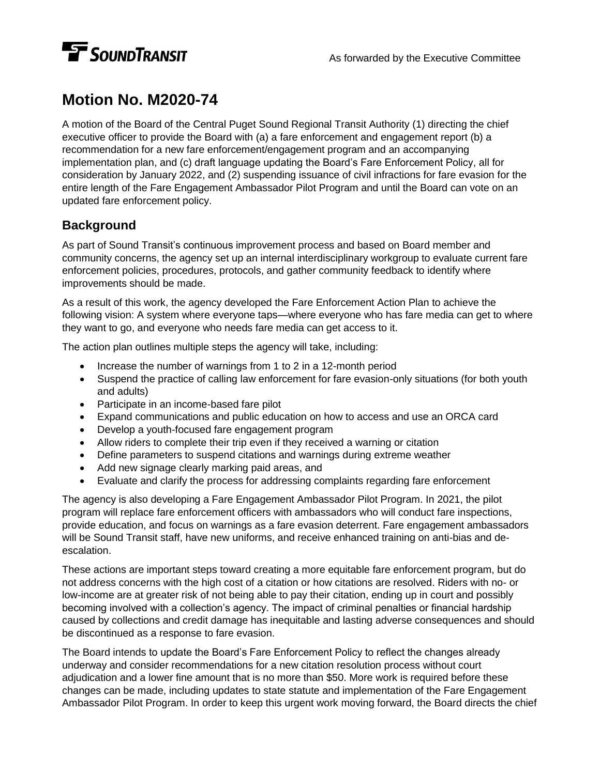

## **Motion No. M2020-74**

A motion of the Board of the Central Puget Sound Regional Transit Authority (1) directing the chief executive officer to provide the Board with (a) a fare enforcement and engagement report (b) a recommendation for a new fare enforcement/engagement program and an accompanying implementation plan, and (c) draft language updating the Board's Fare Enforcement Policy, all for consideration by January 2022, and (2) suspending issuance of civil infractions for fare evasion for the entire length of the Fare Engagement Ambassador Pilot Program and until the Board can vote on an updated fare enforcement policy.

## **Background**

As part of Sound Transit's continuous improvement process and based on Board member and community concerns, the agency set up an internal interdisciplinary workgroup to evaluate current fare enforcement policies, procedures, protocols, and gather community feedback to identify where improvements should be made.

As a result of this work, the agency developed the Fare Enforcement Action Plan to achieve the following vision: A system where everyone taps—where everyone who has fare media can get to where they want to go, and everyone who needs fare media can get access to it.

The action plan outlines multiple steps the agency will take, including:

- Increase the number of warnings from 1 to 2 in a 12-month period
- Suspend the practice of calling law enforcement for fare evasion-only situations (for both youth and adults)
- Participate in an income-based fare pilot
- Expand communications and public education on how to access and use an ORCA card
- Develop a youth-focused fare engagement program
- Allow riders to complete their trip even if they received a warning or citation
- Define parameters to suspend citations and warnings during extreme weather
- Add new signage clearly marking paid areas, and
- Evaluate and clarify the process for addressing complaints regarding fare enforcement

The agency is also developing a Fare Engagement Ambassador Pilot Program. In 2021, the pilot program will replace fare enforcement officers with ambassadors who will conduct fare inspections, provide education, and focus on warnings as a fare evasion deterrent. Fare engagement ambassadors will be Sound Transit staff, have new uniforms, and receive enhanced training on anti-bias and deescalation.

These actions are important steps toward creating a more equitable fare enforcement program, but do not address concerns with the high cost of a citation or how citations are resolved. Riders with no- or low-income are at greater risk of not being able to pay their citation, ending up in court and possibly becoming involved with a collection's agency. The impact of criminal penalties or financial hardship caused by collections and credit damage has inequitable and lasting adverse consequences and should be discontinued as a response to fare evasion.

The Board intends to update the Board's Fare Enforcement Policy to reflect the changes already underway and consider recommendations for a new citation resolution process without court adjudication and a lower fine amount that is no more than \$50. More work is required before these changes can be made, including updates to state statute and implementation of the Fare Engagement Ambassador Pilot Program. In order to keep this urgent work moving forward, the Board directs the chief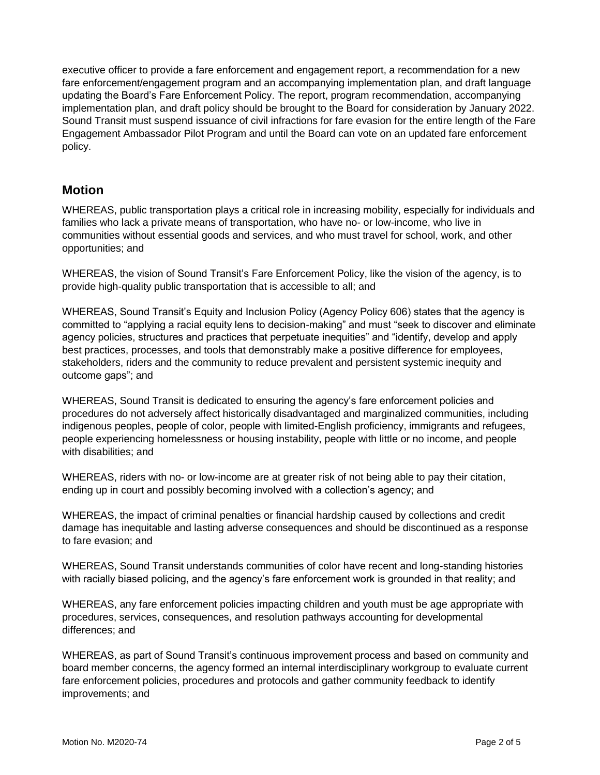executive officer to provide a fare enforcement and engagement report, a recommendation for a new fare enforcement/engagement program and an accompanying implementation plan, and draft language updating the Board's Fare Enforcement Policy. The report, program recommendation, accompanying implementation plan, and draft policy should be brought to the Board for consideration by January 2022. Sound Transit must suspend issuance of civil infractions for fare evasion for the entire length of the Fare Engagement Ambassador Pilot Program and until the Board can vote on an updated fare enforcement policy.

## **Motion**

WHEREAS, public transportation plays a critical role in increasing mobility, especially for individuals and families who lack a private means of transportation, who have no- or low-income, who live in communities without essential goods and services, and who must travel for school, work, and other opportunities; and

WHEREAS, the vision of Sound Transit's Fare Enforcement Policy, like the vision of the agency, is to provide high-quality public transportation that is accessible to all; and

WHEREAS, Sound Transit's Equity and Inclusion Policy (Agency Policy 606) states that the agency is committed to "applying a racial equity lens to decision-making" and must "seek to discover and eliminate agency policies, structures and practices that perpetuate inequities" and "identify, develop and apply best practices, processes, and tools that demonstrably make a positive difference for employees, stakeholders, riders and the community to reduce prevalent and persistent systemic inequity and outcome gaps"; and

WHEREAS, Sound Transit is dedicated to ensuring the agency's fare enforcement policies and procedures do not adversely affect historically disadvantaged and marginalized communities, including indigenous peoples, people of color, people with limited-English proficiency, immigrants and refugees, people experiencing homelessness or housing instability, people with little or no income, and people with disabilities; and

WHEREAS, riders with no- or low-income are at greater risk of not being able to pay their citation, ending up in court and possibly becoming involved with a collection's agency; and

WHEREAS, the impact of criminal penalties or financial hardship caused by collections and credit damage has inequitable and lasting adverse consequences and should be discontinued as a response to fare evasion; and

WHEREAS, Sound Transit understands communities of color have recent and long-standing histories with racially biased policing, and the agency's fare enforcement work is grounded in that reality; and

WHEREAS, any fare enforcement policies impacting children and youth must be age appropriate with procedures, services, consequences, and resolution pathways accounting for developmental differences; and

WHEREAS, as part of Sound Transit's continuous improvement process and based on community and board member concerns, the agency formed an internal interdisciplinary workgroup to evaluate current fare enforcement policies, procedures and protocols and gather community feedback to identify improvements; and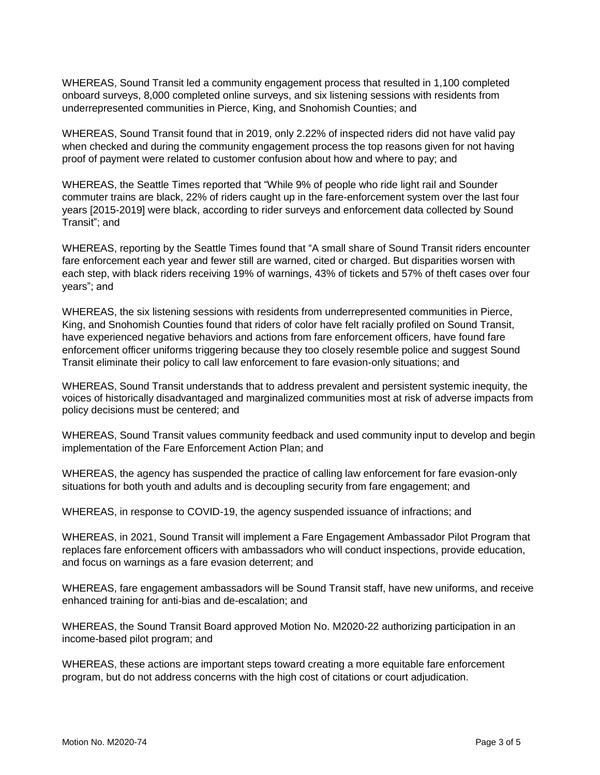WHEREAS, Sound Transit led a community engagement process that resulted in 1,100 completed onboard surveys, 8,000 completed online surveys, and six listening sessions with residents from underrepresented communities in Pierce, King, and Snohomish Counties; and

WHEREAS, Sound Transit found that in 2019, only 2.22% of inspected riders did not have valid pay when checked and during the community engagement process the top reasons given for not having proof of payment were related to customer confusion about how and where to pay; and

WHEREAS, the Seattle Times reported that "While 9% of people who ride light rail and Sounder commuter trains are black, 22% of riders caught up in the fare-enforcement system over the last four years [2015-2019] were black, according to rider surveys and enforcement data collected by Sound Transit"; and

WHEREAS, reporting by the Seattle Times found that "A small share of Sound Transit riders encounter fare enforcement each year and fewer still are warned, cited or charged. But disparities worsen with each step, with black riders receiving 19% of warnings, 43% of tickets and 57% of theft cases over four years"; and

WHEREAS, the six listening sessions with residents from underrepresented communities in Pierce, King, and Snohomish Counties found that riders of color have felt racially profiled on Sound Transit, have experienced negative behaviors and actions from fare enforcement officers, have found fare enforcement officer uniforms triggering because they too closely resemble police and suggest Sound Transit eliminate their policy to call law enforcement to fare evasion-only situations; and

WHEREAS, Sound Transit understands that to address prevalent and persistent systemic inequity, the voices of historically disadvantaged and marginalized communities most at risk of adverse impacts from policy decisions must be centered; and

WHEREAS, Sound Transit values community feedback and used community input to develop and begin implementation of the Fare Enforcement Action Plan; and

WHEREAS, the agency has suspended the practice of calling law enforcement for fare evasion-only situations for both youth and adults and is decoupling security from fare engagement; and

WHEREAS, in response to COVID-19, the agency suspended issuance of infractions; and

WHEREAS, in 2021, Sound Transit will implement a Fare Engagement Ambassador Pilot Program that replaces fare enforcement officers with ambassadors who will conduct inspections, provide education, and focus on warnings as a fare evasion deterrent; and

WHEREAS, fare engagement ambassadors will be Sound Transit staff, have new uniforms, and receive enhanced training for anti-bias and de-escalation; and

WHEREAS, the Sound Transit Board approved Motion No. M2020-22 authorizing participation in an income-based pilot program; and

WHEREAS, these actions are important steps toward creating a more equitable fare enforcement program, but do not address concerns with the high cost of citations or court adjudication.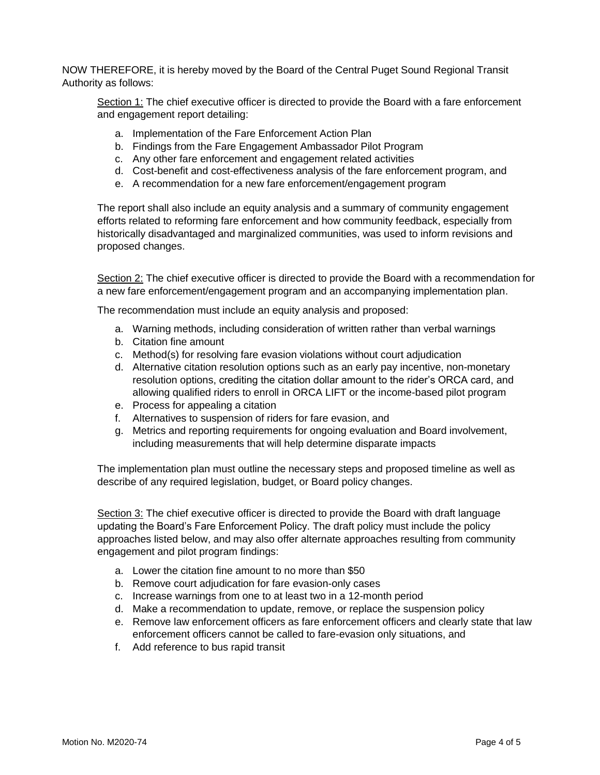NOW THEREFORE, it is hereby moved by the Board of the Central Puget Sound Regional Transit Authority as follows:

Section 1: The chief executive officer is directed to provide the Board with a fare enforcement and engagement report detailing:

- a. Implementation of the Fare Enforcement Action Plan
- b. Findings from the Fare Engagement Ambassador Pilot Program
- c. Any other fare enforcement and engagement related activities
- d. Cost-benefit and cost-effectiveness analysis of the fare enforcement program, and
- e. A recommendation for a new fare enforcement/engagement program

The report shall also include an equity analysis and a summary of community engagement efforts related to reforming fare enforcement and how community feedback, especially from historically disadvantaged and marginalized communities, was used to inform revisions and proposed changes.

Section 2: The chief executive officer is directed to provide the Board with a recommendation for a new fare enforcement/engagement program and an accompanying implementation plan.

The recommendation must include an equity analysis and proposed:

- a. Warning methods, including consideration of written rather than verbal warnings
- b. Citation fine amount
- c. Method(s) for resolving fare evasion violations without court adjudication
- d. Alternative citation resolution options such as an early pay incentive, non-monetary resolution options, crediting the citation dollar amount to the rider's ORCA card, and allowing qualified riders to enroll in ORCA LIFT or the income-based pilot program
- e. Process for appealing a citation
- f. Alternatives to suspension of riders for fare evasion, and
- g. Metrics and reporting requirements for ongoing evaluation and Board involvement, including measurements that will help determine disparate impacts

The implementation plan must outline the necessary steps and proposed timeline as well as describe of any required legislation, budget, or Board policy changes.

Section 3: The chief executive officer is directed to provide the Board with draft language updating the Board's Fare Enforcement Policy. The draft policy must include the policy approaches listed below, and may also offer alternate approaches resulting from community engagement and pilot program findings:

- a. Lower the citation fine amount to no more than \$50
- b. Remove court adjudication for fare evasion-only cases
- c. Increase warnings from one to at least two in a 12-month period
- d. Make a recommendation to update, remove, or replace the suspension policy
- e. Remove law enforcement officers as fare enforcement officers and clearly state that law enforcement officers cannot be called to fare-evasion only situations, and
- f. Add reference to bus rapid transit